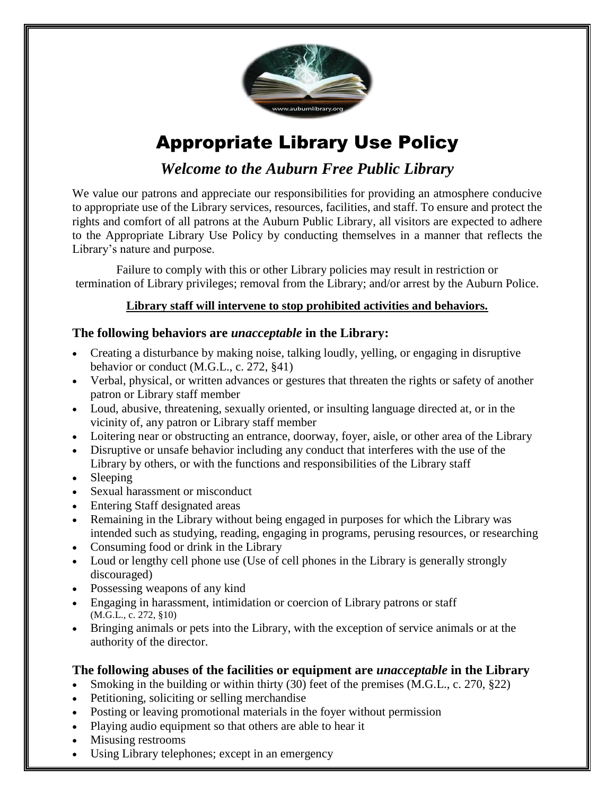

# Appropriate Library Use Policy

*Welcome to the Auburn Free Public Library*

We value our patrons and appreciate our responsibilities for providing an atmosphere conducive to appropriate use of the Library services, resources, facilities, and staff. To ensure and protect the rights and comfort of all patrons at the Auburn Public Library, all visitors are expected to adhere to the Appropriate Library Use Policy by conducting themselves in a manner that reflects the Library's nature and purpose.

Failure to comply with this or other Library policies may result in restriction or termination of Library privileges; removal from the Library; and/or arrest by the Auburn Police.

# **Library staff will intervene to stop prohibited activities and behaviors.**

# **The following behaviors are** *unacceptable* **in the Library:**

- Creating a disturbance by making noise, talking loudly, yelling, or engaging in disruptive behavior or conduct (M.G.L., c. 272, §41)
- Verbal, physical, or written advances or gestures that threaten the rights or safety of another patron or Library staff member
- Loud, abusive, threatening, sexually oriented, or insulting language directed at, or in the vicinity of, any patron or Library staff member
- Loitering near or obstructing an entrance, doorway, foyer, aisle, or other area of the Library
- Disruptive or unsafe behavior including any conduct that interferes with the use of the Library by others, or with the functions and responsibilities of the Library staff
- Sleeping
- Sexual harassment or misconduct
- Entering Staff designated areas
- Remaining in the Library without being engaged in purposes for which the Library was intended such as studying, reading, engaging in programs, perusing resources, or researching
- Consuming food or drink in the Library
- Loud or lengthy cell phone use (Use of cell phones in the Library is generally strongly discouraged)
- Possessing weapons of any kind
- Engaging in harassment, intimidation or coercion of Library patrons or staff (M.G.L., c. 272, §10)
- Bringing animals or pets into the Library, with the exception of service animals or at the authority of the director.

## **The following abuses of the facilities or equipment are** *unacceptable* **in the Library**

- Smoking in the building or within thirty (30) feet of the premises (M.G.L., c. 270, §22)
- Petitioning, soliciting or selling merchandise
- Posting or leaving promotional materials in the foyer without permission
- Playing audio equipment so that others are able to hear it
- Misusing restrooms
- Using Library telephones; except in an emergency